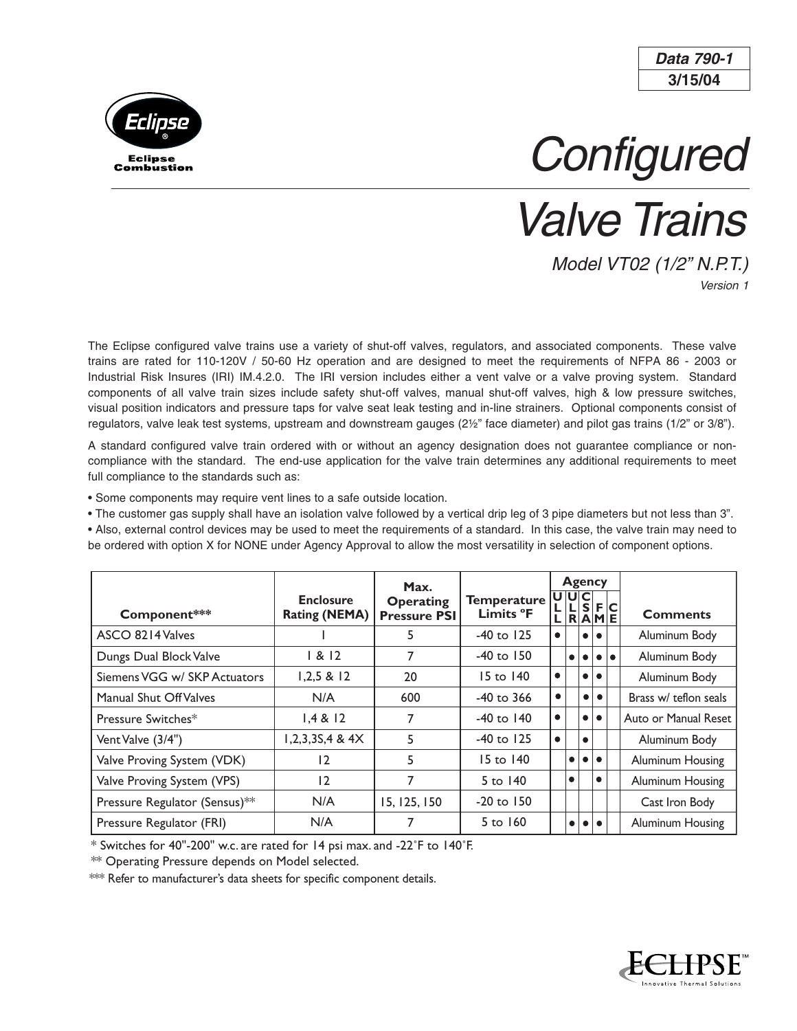**3/15/04 Data 790-1**



**Configured** 

Valve Trains

Model VT02 (1/2" N.P.T.) Version 1

The Eclipse configured valve trains use a variety of shut-off valves, regulators, and associated components. These valve trains are rated for 110-120V / 50-60 Hz operation and are designed to meet the requirements of NFPA 86 - 2003 or Industrial Risk Insures (IRI) IM.4.2.0. The IRI version includes either a vent valve or a valve proving system. Standard components of all valve train sizes include safety shut-off valves, manual shut-off valves, high & low pressure switches, visual position indicators and pressure taps for valve seat leak testing and in-line strainers. Optional components consist of regulators, valve leak test systems, upstream and downstream gauges (2½" face diameter) and pilot gas trains (1/2" or 3/8").

A standard configured valve train ordered with or without an agency designation does not guarantee compliance or noncompliance with the standard. The end-use application for the valve train determines any additional requirements to meet full compliance to the standards such as:

• Some components may require vent lines to a safe outside location.

• The customer gas supply shall have an isolation valve followed by a vertical drip leg of 3 pipe diameters but not less than 3". • Also, external control devices may be used to meet the requirements of a standard. In this case, the valve train may need to

be ordered with option X for NONE under Agency Approval to allow the most versatility in selection of component options.

|                               |                                          | Max.                                    |                                 |                              | <b>Agency</b>                 |  |                         |                         |                  |  |
|-------------------------------|------------------------------------------|-----------------------------------------|---------------------------------|------------------------------|-------------------------------|--|-------------------------|-------------------------|------------------|--|
| Component***                  | <b>Enclosure</b><br><b>Rating (NEMA)</b> | <b>Operating</b><br><b>Pressure PSI</b> | <b>Temperature</b><br>Limits °F |                              | UUC<br>L  R A M E             |  | $S$ F $C$               |                         | <b>Comments</b>  |  |
| ASCO 8214 Valves              |                                          | 5                                       | $-40$ to $125$                  |                              | l o<br>$\bullet$              |  |                         | Aluminum Body           |                  |  |
| Dungs Dual Block Valve        | 1 & 12                                   | 7                                       | $-40$ to $150$                  | I<br>$\bullet\bullet\bullet$ |                               |  | Aluminum Body           |                         |                  |  |
| Siemens VGG w/ SKP Actuators  | 1.2.5 & 12                               | 20                                      | $15 \text{ to } 140$            | $\bullet$                    |                               |  | $\bullet\bullet$        |                         | Aluminum Body    |  |
| Manual Shut Off Valves        | N/A                                      | 600                                     | $-40$ to 366                    | ٠                            | $\bullet$<br>l o              |  |                         | Brass w/ teflon seals   |                  |  |
| Pressure Switches*            | 1.4 & 12                                 |                                         | $-40$ to $140$                  | $\bullet$                    | l o<br>$\bullet$              |  |                         | Auto or Manual Reset    |                  |  |
| Vent Valve (3/4")             | $1,2,3,35,4$ & $4X$                      | 5                                       | $-40$ to $125$                  | $\bullet$                    | $\bullet$                     |  |                         | Aluminum Body           |                  |  |
| Valve Proving System (VDK)    | 12                                       | 5                                       | $15 \text{ to } 140$            |                              | $\bullet\bullet$<br>$\bullet$ |  |                         | <b>Aluminum Housing</b> |                  |  |
| Valve Proving System (VPS)    | 12                                       |                                         | $5$ to $140$                    |                              | $\bullet$<br>$\bullet$        |  | <b>Aluminum Housing</b> |                         |                  |  |
| Pressure Regulator (Sensus)** | N/A                                      | 15, 125, 150                            | $-20$ to $150$                  |                              |                               |  |                         |                         | Cast Iron Body   |  |
| Pressure Regulator (FRI)      | N/A                                      |                                         | $5$ to $160$                    |                              | $\bullet$                     |  | .                       |                         | Aluminum Housing |  |

\* Switches for 40"-200" w.c. are rated for 14 psi max. and -22˚F to 140˚F.

\*\* Operating Pressure depends on Model selected.

\*\*\* Refer to manufacturer's data sheets for specific component details.

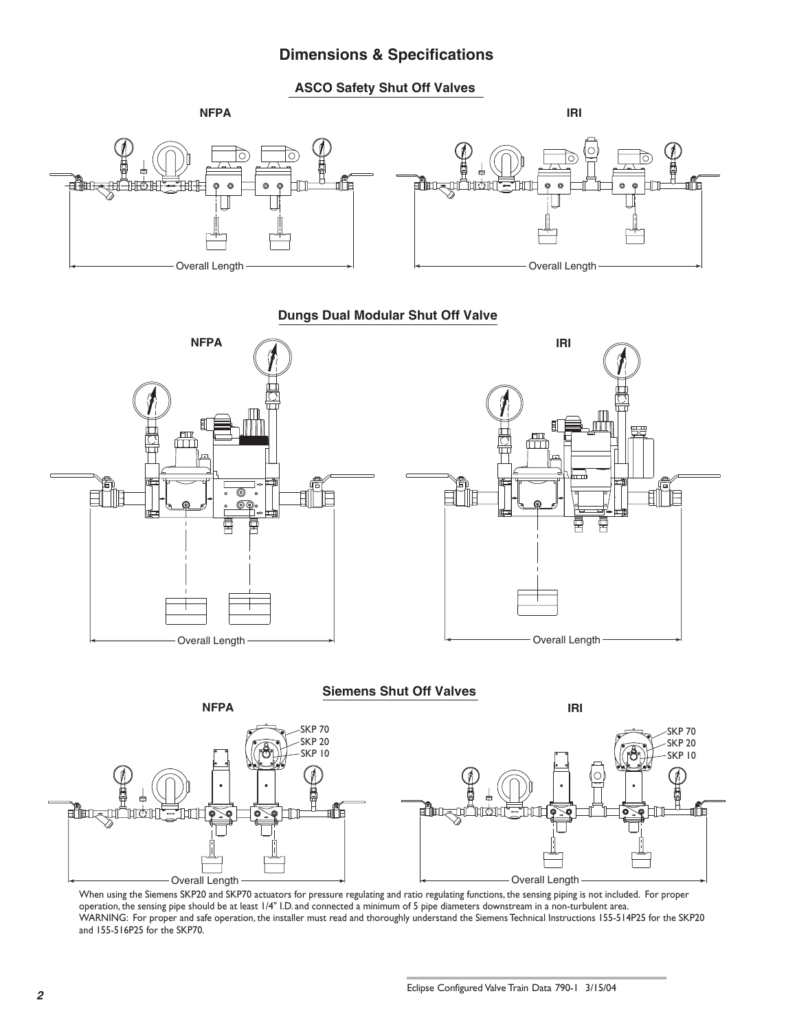## **Dimensions & Specifications**

**ASCO Safety Shut Off Valves**



## **Dungs Dual Modular Shut Off Valve**



Overall Length **Contract Contract Contract Contract Contract Contract Contract Contract Contract Contract Contract Contract Contract Contract Contract Contract Contract Contract Contract Contract Contract Contract Contract** When using the Siemens SKP20 and SKP70 actuators for pressure regulating and ratio regulating functions, the sensing piping is not included. For proper operation, the sensing pipe should be at least 1/4" I.D. and connected a minimum of 5 pipe diameters downstream in a non-turbulent area. WARNING: For proper and safe operation, the installer must read and thoroughly understand the Siemens Technical Instructions 155-514P25 for the SKP20 and 155-516P25 for the SKP70.

tÜB

**الله السراسية** 

ी1िएं

Q

űÞ

**मुक्ता**र्या

াঞ্চ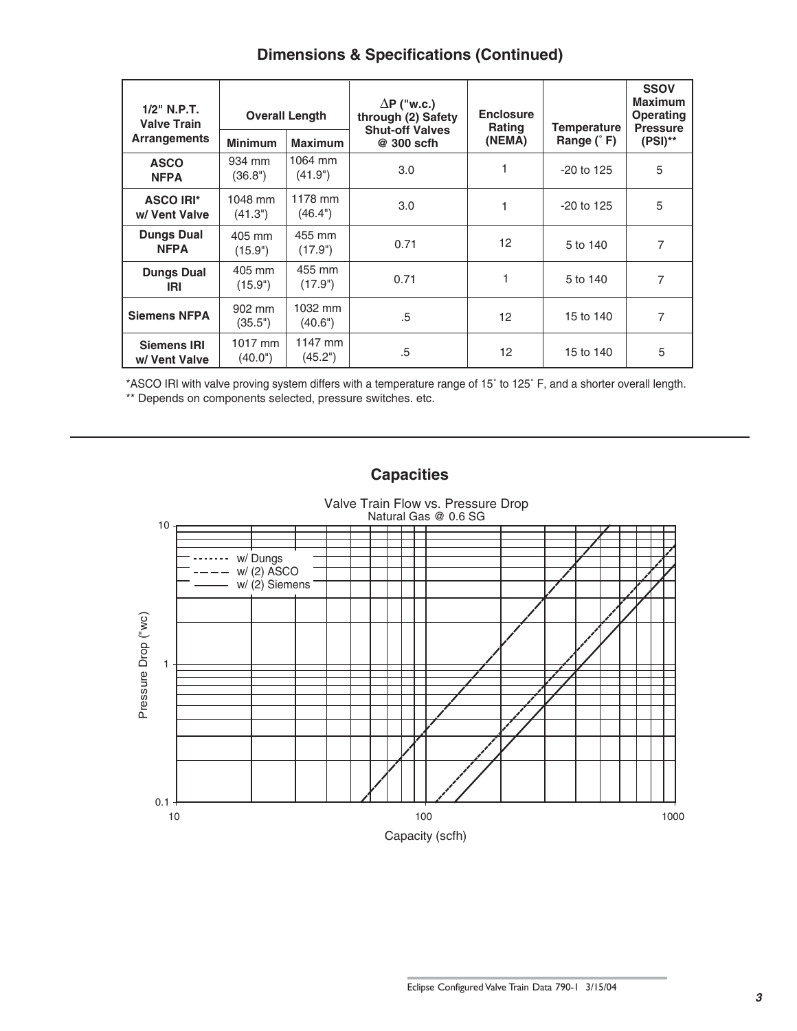| $1/2$ " N.P.T.<br><b>Valve Train</b> | <b>Overall Length</b> |                    | $\Delta P$ ("w.c.)<br>through (2) Safety<br><b>Shut-off Valves</b> | <b>Enclosure</b><br><b>Rating</b> | Temperature  | <b>SSOV</b><br><b>Maximum</b><br>Operating<br><b>Pressure</b> |  |
|--------------------------------------|-----------------------|--------------------|--------------------------------------------------------------------|-----------------------------------|--------------|---------------------------------------------------------------|--|
| <b>Arrangements</b>                  | <b>Minimum</b>        | <b>Maximum</b>     | @ 300 scfh                                                         | (NEMA)                            | Range $(°F)$ | $(PSI)$ **                                                    |  |
| <b>ASCO</b><br><b>NFPA</b>           | 934 mm<br>(36.8")     | 1064 mm<br>(41.9") | 3.0                                                                |                                   | $-20$ to 125 | 5                                                             |  |
| <b>ASCO IRI*</b><br>w/ Vent Valve    | 1048 mm<br>(41.3")    | 1178 mm<br>(46.4") | 3.0                                                                | 1                                 | $-20$ to 125 | 5                                                             |  |
| <b>Dungs Dual</b><br><b>NFPA</b>     | 405 mm<br>(15.9")     | 455 mm<br>(17.9")  | 0.71                                                               | 12 <sup>2</sup>                   | 5 to 140     | 7                                                             |  |
| <b>Dungs Dual</b><br>IRI             | 405 mm<br>(15.9")     | 455 mm<br>(17.9")  | 0.71                                                               | 1                                 | 5 to 140     | 7                                                             |  |
| <b>Siemens NFPA</b>                  | 902 mm<br>(35.5")     | 1032 mm<br>(40.6") | .5                                                                 | 12                                | 15 to 140    | 7                                                             |  |
| <b>Siemens IRI</b><br>w/ Vent Valve  | 1017 mm<br>(40.0")    | 1147 mm<br>(45.2") | .5                                                                 | 12                                | 15 to 140    | 5                                                             |  |

\*ASCO IRI with valve proving system differs with a temperature range of 15˚ to 125˚ F, and a shorter overall length. \*\* Depends on components selected, pressure switches. etc.



**Capacities**